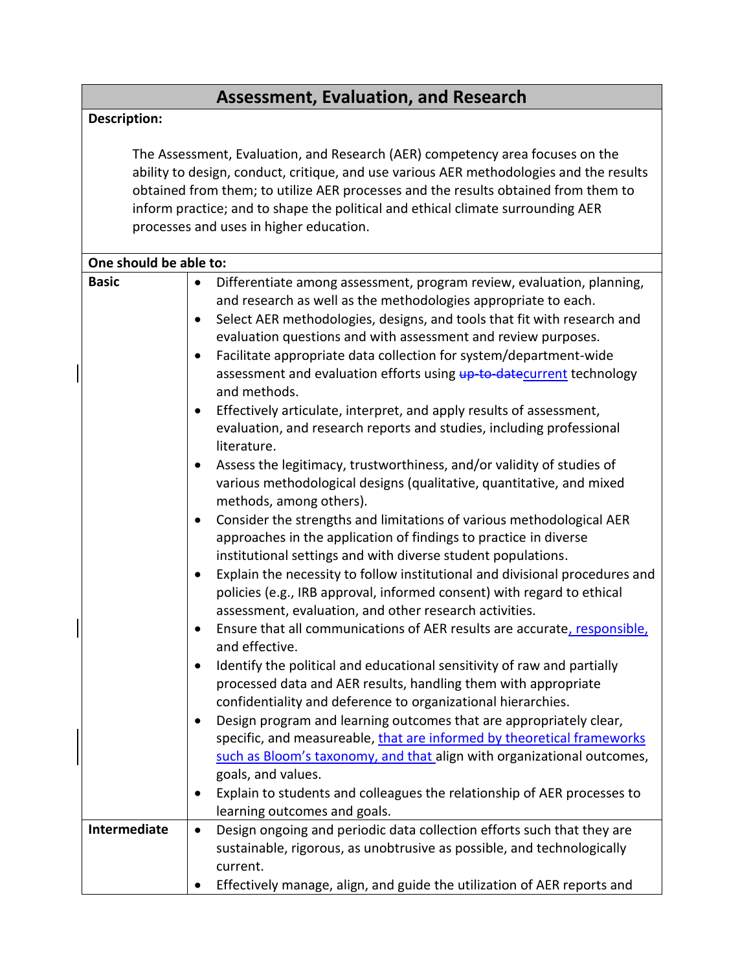## **Assessment, Evaluation, and Research**

## **Description:**

The Assessment, Evaluation, and Research (AER) competency area focuses on the ability to design, conduct, critique, and use various AER methodologies and the results obtained from them; to utilize AER processes and the results obtained from them to inform practice; and to shape the political and ethical climate surrounding AER processes and uses in higher education.

| One should be able to: |                                                                                                                                                                                                                                                                                                                                                                                                                                                                                                                                                                                                                                                                                                                                                                                                                                                                                                                                                                                                                                                                                                                                                                                                                                                                                                                                                                                                                                                                                                                                                                                                                                                                                                                                                                                                                                                                                                                          |
|------------------------|--------------------------------------------------------------------------------------------------------------------------------------------------------------------------------------------------------------------------------------------------------------------------------------------------------------------------------------------------------------------------------------------------------------------------------------------------------------------------------------------------------------------------------------------------------------------------------------------------------------------------------------------------------------------------------------------------------------------------------------------------------------------------------------------------------------------------------------------------------------------------------------------------------------------------------------------------------------------------------------------------------------------------------------------------------------------------------------------------------------------------------------------------------------------------------------------------------------------------------------------------------------------------------------------------------------------------------------------------------------------------------------------------------------------------------------------------------------------------------------------------------------------------------------------------------------------------------------------------------------------------------------------------------------------------------------------------------------------------------------------------------------------------------------------------------------------------------------------------------------------------------------------------------------------------|
| <b>Basic</b>           | Differentiate among assessment, program review, evaluation, planning,<br>$\bullet$<br>and research as well as the methodologies appropriate to each.<br>Select AER methodologies, designs, and tools that fit with research and<br>evaluation questions and with assessment and review purposes.<br>Facilitate appropriate data collection for system/department-wide<br>assessment and evaluation efforts using up to datecurrent technology<br>and methods.<br>Effectively articulate, interpret, and apply results of assessment,<br>evaluation, and research reports and studies, including professional<br>literature.<br>Assess the legitimacy, trustworthiness, and/or validity of studies of<br>various methodological designs (qualitative, quantitative, and mixed<br>methods, among others).<br>Consider the strengths and limitations of various methodological AER<br>٠<br>approaches in the application of findings to practice in diverse<br>institutional settings and with diverse student populations.<br>Explain the necessity to follow institutional and divisional procedures and<br>policies (e.g., IRB approval, informed consent) with regard to ethical<br>assessment, evaluation, and other research activities.<br>Ensure that all communications of AER results are accurate, responsible,<br>$\bullet$<br>and effective.<br>Identify the political and educational sensitivity of raw and partially<br>$\bullet$<br>processed data and AER results, handling them with appropriate<br>confidentiality and deference to organizational hierarchies.<br>Design program and learning outcomes that are appropriately clear,<br>$\bullet$<br>specific, and measureable, that are informed by theoretical frameworks<br>such as Bloom's taxonomy, and that align with organizational outcomes,<br>goals, and values.<br>Explain to students and colleagues the relationship of AER processes to |
|                        | learning outcomes and goals.                                                                                                                                                                                                                                                                                                                                                                                                                                                                                                                                                                                                                                                                                                                                                                                                                                                                                                                                                                                                                                                                                                                                                                                                                                                                                                                                                                                                                                                                                                                                                                                                                                                                                                                                                                                                                                                                                             |
| Intermediate           | Design ongoing and periodic data collection efforts such that they are<br>$\bullet$<br>sustainable, rigorous, as unobtrusive as possible, and technologically<br>current.<br>Effectively manage, align, and guide the utilization of AER reports and                                                                                                                                                                                                                                                                                                                                                                                                                                                                                                                                                                                                                                                                                                                                                                                                                                                                                                                                                                                                                                                                                                                                                                                                                                                                                                                                                                                                                                                                                                                                                                                                                                                                     |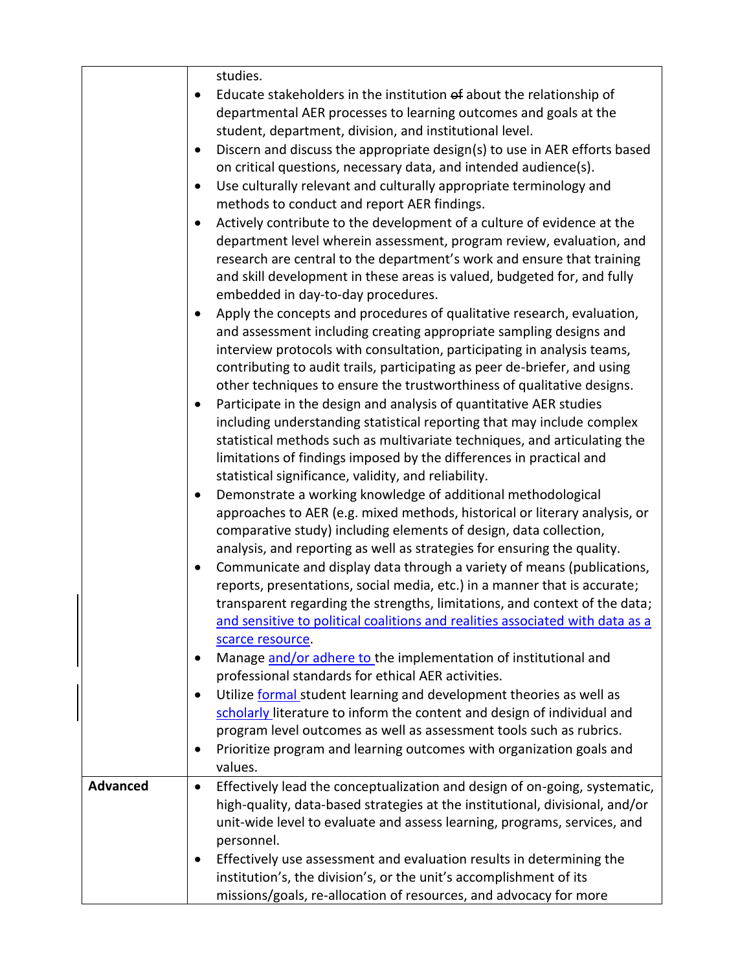|                 | studies.                                                                                                                                     |
|-----------------|----------------------------------------------------------------------------------------------------------------------------------------------|
|                 | Educate stakeholders in the institution of about the relationship of                                                                         |
|                 | departmental AER processes to learning outcomes and goals at the                                                                             |
|                 | student, department, division, and institutional level.                                                                                      |
|                 | Discern and discuss the appropriate design(s) to use in AER efforts based                                                                    |
|                 | on critical questions, necessary data, and intended audience(s).                                                                             |
|                 | Use culturally relevant and culturally appropriate terminology and                                                                           |
|                 | methods to conduct and report AER findings.                                                                                                  |
|                 | Actively contribute to the development of a culture of evidence at the                                                                       |
|                 | department level wherein assessment, program review, evaluation, and                                                                         |
|                 | research are central to the department's work and ensure that training                                                                       |
|                 | and skill development in these areas is valued, budgeted for, and fully                                                                      |
|                 | embedded in day-to-day procedures.                                                                                                           |
|                 | Apply the concepts and procedures of qualitative research, evaluation,                                                                       |
|                 | and assessment including creating appropriate sampling designs and                                                                           |
|                 | interview protocols with consultation, participating in analysis teams,                                                                      |
|                 | contributing to audit trails, participating as peer de-briefer, and using                                                                    |
|                 | other techniques to ensure the trustworthiness of qualitative designs.                                                                       |
|                 | Participate in the design and analysis of quantitative AER studies                                                                           |
|                 | including understanding statistical reporting that may include complex                                                                       |
|                 | statistical methods such as multivariate techniques, and articulating the                                                                    |
|                 | limitations of findings imposed by the differences in practical and                                                                          |
|                 | statistical significance, validity, and reliability.                                                                                         |
|                 | Demonstrate a working knowledge of additional methodological                                                                                 |
|                 |                                                                                                                                              |
|                 | approaches to AER (e.g. mixed methods, historical or literary analysis, or                                                                   |
|                 | comparative study) including elements of design, data collection,<br>analysis, and reporting as well as strategies for ensuring the quality. |
|                 |                                                                                                                                              |
|                 | Communicate and display data through a variety of means (publications,                                                                       |
|                 | reports, presentations, social media, etc.) in a manner that is accurate;                                                                    |
|                 | transparent regarding the strengths, limitations, and context of the data;                                                                   |
|                 | and sensitive to political coalitions and realities associated with data as a                                                                |
|                 | scarce resource.                                                                                                                             |
|                 | Manage and/or adhere to the implementation of institutional and<br>٠                                                                         |
|                 | professional standards for ethical AER activities.                                                                                           |
|                 | Utilize formal student learning and development theories as well as<br>$\bullet$                                                             |
|                 | scholarly literature to inform the content and design of individual and                                                                      |
|                 | program level outcomes as well as assessment tools such as rubrics.                                                                          |
|                 | Prioritize program and learning outcomes with organization goals and                                                                         |
|                 | values.                                                                                                                                      |
| <b>Advanced</b> | Effectively lead the conceptualization and design of on-going, systematic,<br>$\bullet$                                                      |
|                 | high-quality, data-based strategies at the institutional, divisional, and/or                                                                 |
|                 | unit-wide level to evaluate and assess learning, programs, services, and                                                                     |
|                 | personnel.                                                                                                                                   |
|                 | Effectively use assessment and evaluation results in determining the                                                                         |
|                 | institution's, the division's, or the unit's accomplishment of its                                                                           |
|                 | missions/goals, re-allocation of resources, and advocacy for more                                                                            |